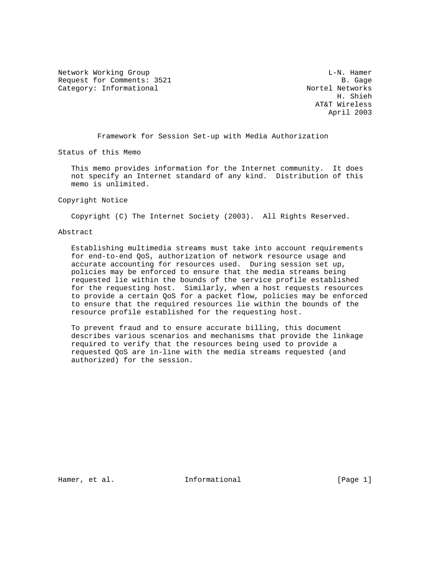Network Working Group and the contract of the contract of the L-N. Hamer Request for Comments: 3521 B. Gage<br>Category: Informational and B. Gage Research Category: Informational

Category: Informational Nortel Networks<br>H. Shieh H. Shieh AT&T Wireless April 2003

Framework for Session Set-up with Media Authorization

Status of this Memo

 This memo provides information for the Internet community. It does not specify an Internet standard of any kind. Distribution of this memo is unlimited.

#### Copyright Notice

Copyright (C) The Internet Society (2003). All Rights Reserved.

### Abstract

 Establishing multimedia streams must take into account requirements for end-to-end QoS, authorization of network resource usage and accurate accounting for resources used. During session set up, policies may be enforced to ensure that the media streams being requested lie within the bounds of the service profile established for the requesting host. Similarly, when a host requests resources to provide a certain QoS for a packet flow, policies may be enforced to ensure that the required resources lie within the bounds of the resource profile established for the requesting host.

 To prevent fraud and to ensure accurate billing, this document describes various scenarios and mechanisms that provide the linkage required to verify that the resources being used to provide a requested QoS are in-line with the media streams requested (and authorized) for the session.

Hamer, et al.  $I_n$  Informational [Page 1]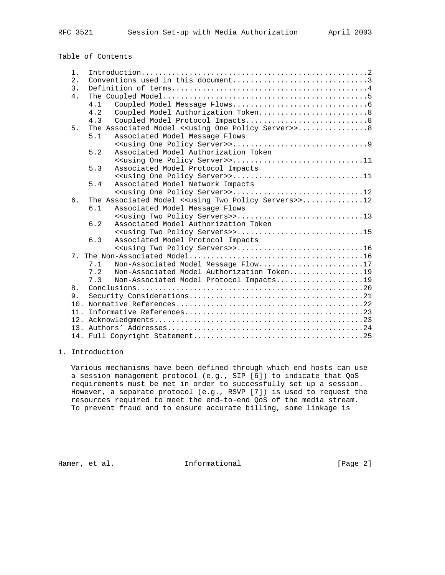# Table of Contents

| $1$ .            |                                                                         |
|------------------|-------------------------------------------------------------------------|
| 2.               |                                                                         |
| $\overline{3}$ . |                                                                         |
| 4.               |                                                                         |
|                  | 4.1                                                                     |
|                  | 4.2<br>Coupled Model Authorization Token8                               |
|                  | 4.3<br>Coupled Model Protocol Impacts8                                  |
| 5.               | The Associated Model < <using one="" policy="" server="">&gt; 8</using> |
|                  | 5.1<br>Associated Model Message Flows                                   |
|                  |                                                                         |
|                  | 5.2<br>Associated Model Authorization Token                             |
|                  |                                                                         |
|                  | Associated Model Protocol Impacts<br>5.3                                |
|                  | < <using one="" policy="" server="">&gt;11</using>                      |
|                  | 5.4<br>Associated Model Network Impacts                                 |
|                  |                                                                         |
| 6.               | The Associated Model << using Two Policy Servers>>12                    |
|                  | 6.1<br>Associated Model Message Flows                                   |
|                  | < <using policy="" servers="" two="">&gt;13</using>                     |
|                  |                                                                         |
|                  | 6.2<br>Associated Model Authorization Token                             |
|                  | < <using policy="" servers="" two="">&gt;15</using>                     |
|                  | 6.3<br>Associated Model Protocol Impacts                                |
|                  | < <using policy="" servers="" two="">&gt;16</using>                     |
|                  |                                                                         |
|                  | Non-Associated Model Message Flow17<br>7.1                              |
|                  | 7.2<br>Non-Associated Model Authorization Token19                       |
|                  | Non-Associated Model Protocol Impacts19<br>7.3                          |
| 8.               |                                                                         |
| 9.               |                                                                         |
| 10.              |                                                                         |
|                  |                                                                         |
|                  |                                                                         |
|                  |                                                                         |

# 1. Introduction

 Various mechanisms have been defined through which end hosts can use a session management protocol (e.g., SIP [6]) to indicate that QoS requirements must be met in order to successfully set up a session. However, a separate protocol (e.g., RSVP [7]) is used to request the resources required to meet the end-to-end QoS of the media stream. To prevent fraud and to ensure accurate billing, some linkage is

Hamer, et al. 10 Informational 10 10 [Page 2]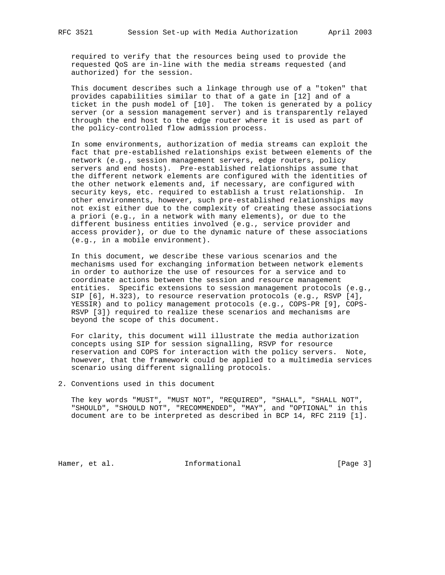required to verify that the resources being used to provide the requested QoS are in-line with the media streams requested (and authorized) for the session.

 This document describes such a linkage through use of a "token" that provides capabilities similar to that of a gate in [12] and of a ticket in the push model of [10]. The token is generated by a policy server (or a session management server) and is transparently relayed through the end host to the edge router where it is used as part of the policy-controlled flow admission process.

 In some environments, authorization of media streams can exploit the fact that pre-established relationships exist between elements of the network (e.g., session management servers, edge routers, policy servers and end hosts). Pre-established relationships assume that the different network elements are configured with the identities of the other network elements and, if necessary, are configured with security keys, etc. required to establish a trust relationship. In other environments, however, such pre-established relationships may not exist either due to the complexity of creating these associations a priori (e.g., in a network with many elements), or due to the different business entities involved (e.g., service provider and access provider), or due to the dynamic nature of these associations (e.g., in a mobile environment).

 In this document, we describe these various scenarios and the mechanisms used for exchanging information between network elements in order to authorize the use of resources for a service and to coordinate actions between the session and resource management entities. Specific extensions to session management protocols (e.g., SIP [6], H.323), to resource reservation protocols (e.g., RSVP [4], YESSIR) and to policy management protocols (e.g., COPS-PR [9], COPS- RSVP [3]) required to realize these scenarios and mechanisms are beyond the scope of this document.

 For clarity, this document will illustrate the media authorization concepts using SIP for session signalling, RSVP for resource reservation and COPS for interaction with the policy servers. Note, however, that the framework could be applied to a multimedia services scenario using different signalling protocols.

# 2. Conventions used in this document

 The key words "MUST", "MUST NOT", "REQUIRED", "SHALL", "SHALL NOT", "SHOULD", "SHOULD NOT", "RECOMMENDED", "MAY", and "OPTIONAL" in this document are to be interpreted as described in BCP 14, RFC 2119 [1].

Hamer, et al. 10 Informational 10 10 [Page 3]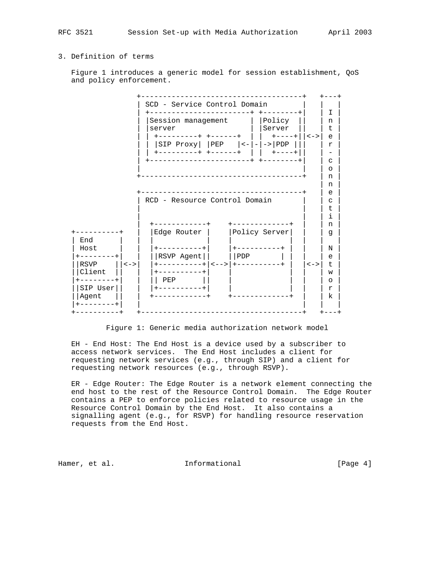# 3. Definition of terms

 Figure 1 introduces a generic model for session establishment, QoS and policy enforcement.



Figure 1: Generic media authorization network model

 EH - End Host: The End Host is a device used by a subscriber to access network services. The End Host includes a client for requesting network services (e.g., through SIP) and a client for requesting network resources (e.g., through RSVP).

 ER - Edge Router: The Edge Router is a network element connecting the end host to the rest of the Resource Control Domain. The Edge Router contains a PEP to enforce policies related to resource usage in the Resource Control Domain by the End Host. It also contains a signalling agent (e.g., for RSVP) for handling resource reservation requests from the End Host.

Hamer, et al. 10 Informational 10 11 [Page 4]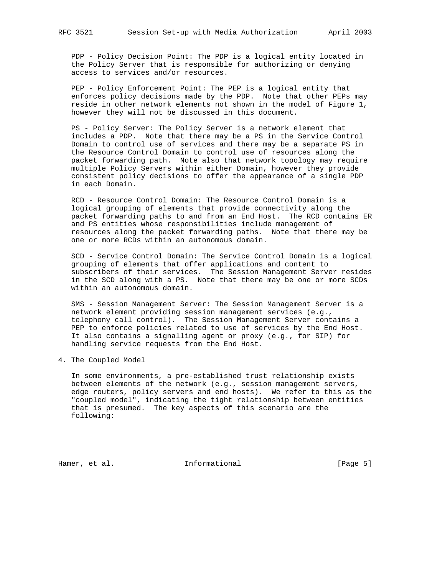PDP - Policy Decision Point: The PDP is a logical entity located in the Policy Server that is responsible for authorizing or denying access to services and/or resources.

 PEP - Policy Enforcement Point: The PEP is a logical entity that enforces policy decisions made by the PDP. Note that other PEPs may reside in other network elements not shown in the model of Figure 1, however they will not be discussed in this document.

 PS - Policy Server: The Policy Server is a network element that includes a PDP. Note that there may be a PS in the Service Control Domain to control use of services and there may be a separate PS in the Resource Control Domain to control use of resources along the packet forwarding path. Note also that network topology may require multiple Policy Servers within either Domain, however they provide consistent policy decisions to offer the appearance of a single PDP in each Domain.

 RCD - Resource Control Domain: The Resource Control Domain is a logical grouping of elements that provide connectivity along the packet forwarding paths to and from an End Host. The RCD contains ER and PS entities whose responsibilities include management of resources along the packet forwarding paths. Note that there may be one or more RCDs within an autonomous domain.

 SCD - Service Control Domain: The Service Control Domain is a logical grouping of elements that offer applications and content to subscribers of their services. The Session Management Server resides in the SCD along with a PS. Note that there may be one or more SCDs within an autonomous domain.

 SMS - Session Management Server: The Session Management Server is a network element providing session management services (e.g., telephony call control). The Session Management Server contains a PEP to enforce policies related to use of services by the End Host. It also contains a signalling agent or proxy (e.g., for SIP) for handling service requests from the End Host.

4. The Coupled Model

 In some environments, a pre-established trust relationship exists between elements of the network (e.g., session management servers, edge routers, policy servers and end hosts). We refer to this as the "coupled model", indicating the tight relationship between entities that is presumed. The key aspects of this scenario are the following:

Hamer, et al. 10 Informational 10 100 [Page 5]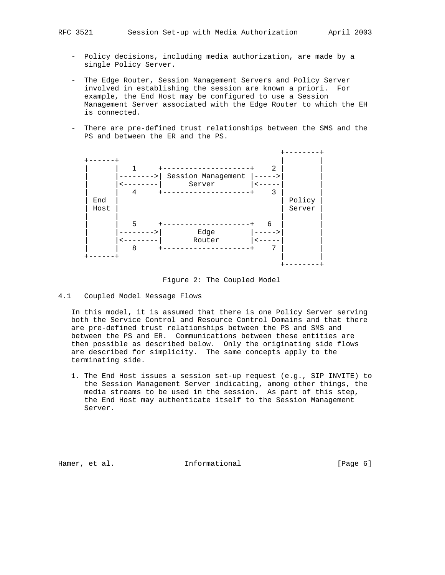- Policy decisions, including media authorization, are made by a single Policy Server.
- The Edge Router, Session Management Servers and Policy Server involved in establishing the session are known a priori. For example, the End Host may be configured to use a Session Management Server associated with the Edge Router to which the EH is connected.
- There are pre-defined trust relationships between the SMS and the PS and between the ER and the PS.



Figure 2: The Coupled Model

4.1 Coupled Model Message Flows

 In this model, it is assumed that there is one Policy Server serving both the Service Control and Resource Control Domains and that there are pre-defined trust relationships between the PS and SMS and between the PS and ER. Communications between these entities are then possible as described below. Only the originating side flows are described for simplicity. The same concepts apply to the terminating side.

 1. The End Host issues a session set-up request (e.g., SIP INVITE) to the Session Management Server indicating, among other things, the media streams to be used in the session. As part of this step, the End Host may authenticate itself to the Session Management Server.

Hamer, et al. **Informational** [Page 6]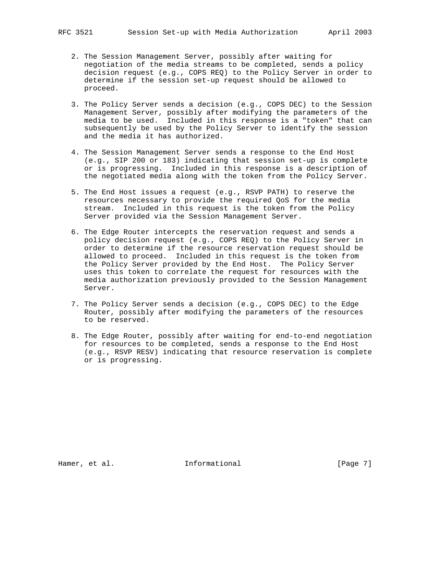- 2. The Session Management Server, possibly after waiting for negotiation of the media streams to be completed, sends a policy decision request (e.g., COPS REQ) to the Policy Server in order to determine if the session set-up request should be allowed to proceed.
- 3. The Policy Server sends a decision (e.g., COPS DEC) to the Session Management Server, possibly after modifying the parameters of the media to be used. Included in this response is a "token" that can subsequently be used by the Policy Server to identify the session and the media it has authorized.
- 4. The Session Management Server sends a response to the End Host (e.g., SIP 200 or 183) indicating that session set-up is complete or is progressing. Included in this response is a description of the negotiated media along with the token from the Policy Server.
- 5. The End Host issues a request (e.g., RSVP PATH) to reserve the resources necessary to provide the required QoS for the media stream. Included in this request is the token from the Policy Server provided via the Session Management Server.
- 6. The Edge Router intercepts the reservation request and sends a policy decision request (e.g., COPS REQ) to the Policy Server in order to determine if the resource reservation request should be allowed to proceed. Included in this request is the token from the Policy Server provided by the End Host. The Policy Server uses this token to correlate the request for resources with the media authorization previously provided to the Session Management Server.
- 7. The Policy Server sends a decision (e.g., COPS DEC) to the Edge Router, possibly after modifying the parameters of the resources to be reserved.
- 8. The Edge Router, possibly after waiting for end-to-end negotiation for resources to be completed, sends a response to the End Host (e.g., RSVP RESV) indicating that resource reservation is complete or is progressing.

Hamer, et al. **Informational** [Page 7]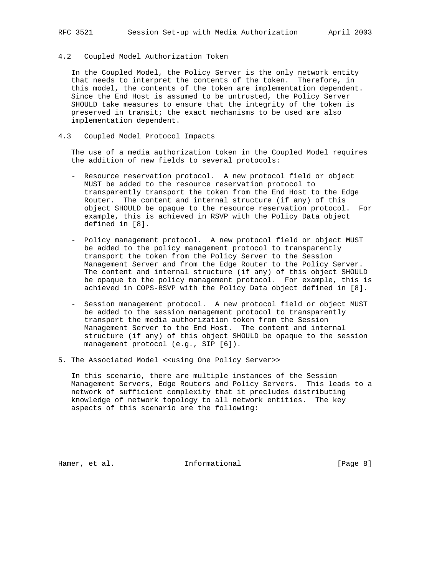### 4.2 Coupled Model Authorization Token

 In the Coupled Model, the Policy Server is the only network entity that needs to interpret the contents of the token. Therefore, in this model, the contents of the token are implementation dependent. Since the End Host is assumed to be untrusted, the Policy Server SHOULD take measures to ensure that the integrity of the token is preserved in transit; the exact mechanisms to be used are also implementation dependent.

### 4.3 Coupled Model Protocol Impacts

 The use of a media authorization token in the Coupled Model requires the addition of new fields to several protocols:

- Resource reservation protocol. A new protocol field or object MUST be added to the resource reservation protocol to transparently transport the token from the End Host to the Edge Router. The content and internal structure (if any) of this object SHOULD be opaque to the resource reservation protocol. For example, this is achieved in RSVP with the Policy Data object defined in [8].
- Policy management protocol. A new protocol field or object MUST be added to the policy management protocol to transparently transport the token from the Policy Server to the Session Management Server and from the Edge Router to the Policy Server. The content and internal structure (if any) of this object SHOULD be opaque to the policy management protocol. For example, this is achieved in COPS-RSVP with the Policy Data object defined in [8].
- Session management protocol. A new protocol field or object MUST be added to the session management protocol to transparently transport the media authorization token from the Session Management Server to the End Host. The content and internal structure (if any) of this object SHOULD be opaque to the session management protocol (e.g., SIP [6]).
- 5. The Associated Model <<using One Policy Server>>

 In this scenario, there are multiple instances of the Session Management Servers, Edge Routers and Policy Servers. This leads to a network of sufficient complexity that it precludes distributing knowledge of network topology to all network entities. The key aspects of this scenario are the following:

Hamer, et al. **Informational** [Page 8]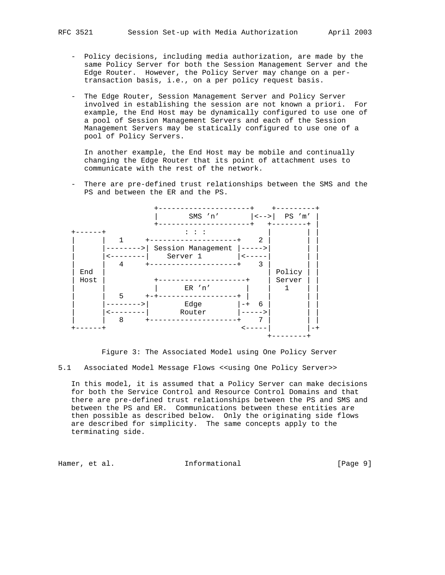- Policy decisions, including media authorization, are made by the same Policy Server for both the Session Management Server and the Edge Router. However, the Policy Server may change on a per transaction basis, i.e., on a per policy request basis.
- The Edge Router, Session Management Server and Policy Server involved in establishing the session are not known a priori. For example, the End Host may be dynamically configured to use one of a pool of Session Management Servers and each of the Session Management Servers may be statically configured to use one of a pool of Policy Servers.

 In another example, the End Host may be mobile and continually changing the Edge Router that its point of attachment uses to communicate with the rest of the network.

 - There are pre-defined trust relationships between the SMS and the PS and between the ER and the PS.



Figure 3: The Associated Model using One Policy Server

5.1 Associated Model Message Flows <<using One Policy Server>>

 In this model, it is assumed that a Policy Server can make decisions for both the Service Control and Resource Control Domains and that there are pre-defined trust relationships between the PS and SMS and between the PS and ER. Communications between these entities are then possible as described below. Only the originating side flows are described for simplicity. The same concepts apply to the terminating side.

Hamer, et al. 10 Informational 10 100 [Page 9]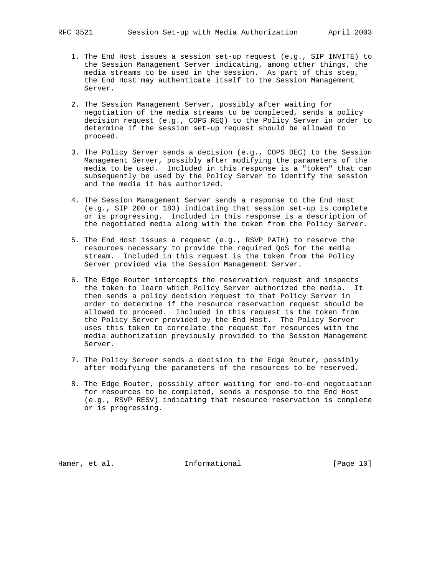- - 1. The End Host issues a session set-up request (e.g., SIP INVITE) to the Session Management Server indicating, among other things, the media streams to be used in the session. As part of this step, the End Host may authenticate itself to the Session Management Server.
	- 2. The Session Management Server, possibly after waiting for negotiation of the media streams to be completed, sends a policy decision request (e.g., COPS REQ) to the Policy Server in order to determine if the session set-up request should be allowed to proceed.
	- 3. The Policy Server sends a decision (e.g., COPS DEC) to the Session Management Server, possibly after modifying the parameters of the media to be used. Included in this response is a "token" that can subsequently be used by the Policy Server to identify the session and the media it has authorized.
	- 4. The Session Management Server sends a response to the End Host (e.g., SIP 200 or 183) indicating that session set-up is complete or is progressing. Included in this response is a description of the negotiated media along with the token from the Policy Server.
	- 5. The End Host issues a request (e.g., RSVP PATH) to reserve the resources necessary to provide the required QoS for the media stream. Included in this request is the token from the Policy Server provided via the Session Management Server.
	- 6. The Edge Router intercepts the reservation request and inspects the token to learn which Policy Server authorized the media. It then sends a policy decision request to that Policy Server in order to determine if the resource reservation request should be allowed to proceed. Included in this request is the token from the Policy Server provided by the End Host. The Policy Server uses this token to correlate the request for resources with the media authorization previously provided to the Session Management Server.
	- 7. The Policy Server sends a decision to the Edge Router, possibly after modifying the parameters of the resources to be reserved.
	- 8. The Edge Router, possibly after waiting for end-to-end negotiation for resources to be completed, sends a response to the End Host (e.g., RSVP RESV) indicating that resource reservation is complete or is progressing.

Hamer, et al. **Informational** [Page 10]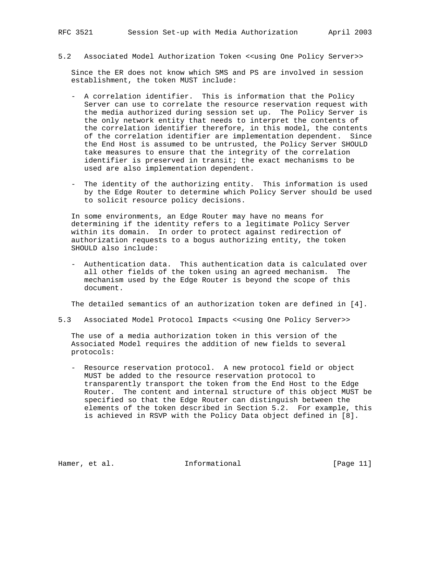5.2 Associated Model Authorization Token <<using One Policy Server>>

 Since the ER does not know which SMS and PS are involved in session establishment, the token MUST include:

- A correlation identifier. This is information that the Policy Server can use to correlate the resource reservation request with the media authorized during session set up. The Policy Server is the only network entity that needs to interpret the contents of the correlation identifier therefore, in this model, the contents of the correlation identifier are implementation dependent. Since the End Host is assumed to be untrusted, the Policy Server SHOULD take measures to ensure that the integrity of the correlation identifier is preserved in transit; the exact mechanisms to be used are also implementation dependent.
- The identity of the authorizing entity. This information is used by the Edge Router to determine which Policy Server should be used to solicit resource policy decisions.

 In some environments, an Edge Router may have no means for determining if the identity refers to a legitimate Policy Server within its domain. In order to protect against redirection of authorization requests to a bogus authorizing entity, the token SHOULD also include:

 - Authentication data. This authentication data is calculated over all other fields of the token using an agreed mechanism. The mechanism used by the Edge Router is beyond the scope of this document.

The detailed semantics of an authorization token are defined in [4].

5.3 Associated Model Protocol Impacts <<using One Policy Server>>

 The use of a media authorization token in this version of the Associated Model requires the addition of new fields to several protocols:

 - Resource reservation protocol. A new protocol field or object MUST be added to the resource reservation protocol to transparently transport the token from the End Host to the Edge Router. The content and internal structure of this object MUST be specified so that the Edge Router can distinguish between the elements of the token described in Section 5.2. For example, this is achieved in RSVP with the Policy Data object defined in [8].

Hamer, et al. **Informational** [Page 11]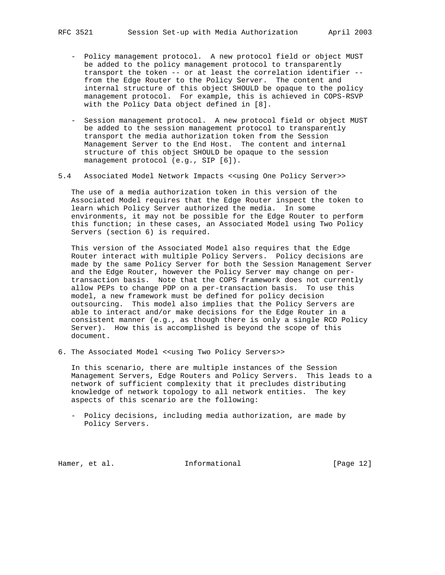- Policy management protocol. A new protocol field or object MUST be added to the policy management protocol to transparently transport the token -- or at least the correlation identifier - from the Edge Router to the Policy Server. The content and internal structure of this object SHOULD be opaque to the policy management protocol. For example, this is achieved in COPS-RSVP with the Policy Data object defined in [8].
- Session management protocol. A new protocol field or object MUST be added to the session management protocol to transparently transport the media authorization token from the Session Management Server to the End Host. The content and internal structure of this object SHOULD be opaque to the session management protocol (e.g., SIP [6]).
- 5.4 Associated Model Network Impacts <<using One Policy Server>>

 The use of a media authorization token in this version of the Associated Model requires that the Edge Router inspect the token to learn which Policy Server authorized the media. In some environments, it may not be possible for the Edge Router to perform this function; in these cases, an Associated Model using Two Policy Servers (section 6) is required.

 This version of the Associated Model also requires that the Edge Router interact with multiple Policy Servers. Policy decisions are made by the same Policy Server for both the Session Management Server and the Edge Router, however the Policy Server may change on per transaction basis. Note that the COPS framework does not currently allow PEPs to change PDP on a per-transaction basis. To use this model, a new framework must be defined for policy decision outsourcing. This model also implies that the Policy Servers are able to interact and/or make decisions for the Edge Router in a consistent manner (e.g., as though there is only a single RCD Policy Server). How this is accomplished is beyond the scope of this document.

6. The Associated Model <<using Two Policy Servers>>

 In this scenario, there are multiple instances of the Session Management Servers, Edge Routers and Policy Servers. This leads to a network of sufficient complexity that it precludes distributing knowledge of network topology to all network entities. The key aspects of this scenario are the following:

 - Policy decisions, including media authorization, are made by Policy Servers.

Hamer, et al. 10 Informational 10 [Page 12]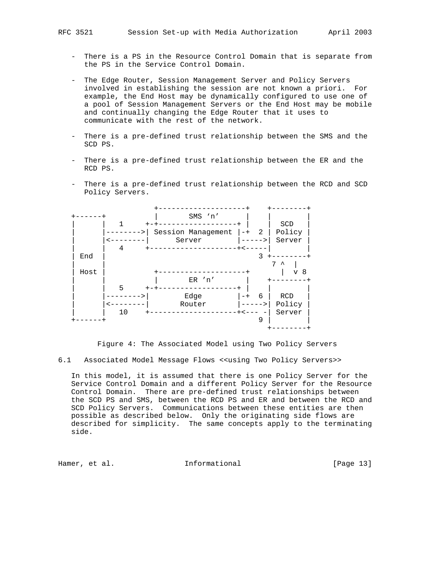- There is a PS in the Resource Control Domain that is separate from the PS in the Service Control Domain.
- The Edge Router, Session Management Server and Policy Servers involved in establishing the session are not known a priori. For example, the End Host may be dynamically configured to use one of a pool of Session Management Servers or the End Host may be mobile and continually changing the Edge Router that it uses to communicate with the rest of the network.
- There is a pre-defined trust relationship between the SMS and the SCD PS.
- There is a pre-defined trust relationship between the ER and the RCD PS.
- There is a pre-defined trust relationship between the RCD and SCD Policy Servers.



Figure 4: The Associated Model using Two Policy Servers

6.1 Associated Model Message Flows <<using Two Policy Servers>>

 In this model, it is assumed that there is one Policy Server for the Service Control Domain and a different Policy Server for the Resource Control Domain. There are pre-defined trust relationships between the SCD PS and SMS, between the RCD PS and ER and between the RCD and SCD Policy Servers. Communications between these entities are then possible as described below. Only the originating side flows are described for simplicity. The same concepts apply to the terminating side.

Hamer, et al. 10 Informational 10 [Page 13]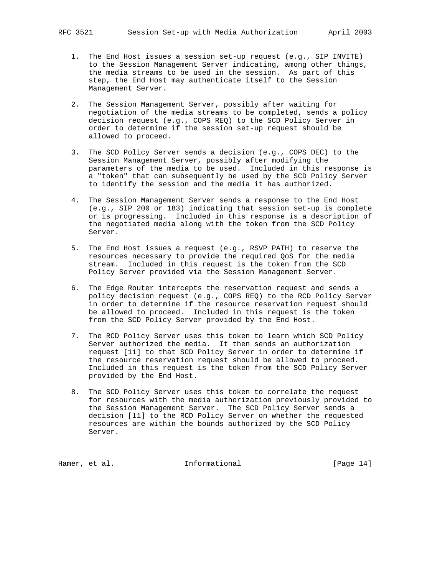- - 1. The End Host issues a session set-up request (e.g., SIP INVITE) to the Session Management Server indicating, among other things, the media streams to be used in the session. As part of this step, the End Host may authenticate itself to the Session Management Server.
	- 2. The Session Management Server, possibly after waiting for negotiation of the media streams to be completed, sends a policy decision request (e.g., COPS REQ) to the SCD Policy Server in order to determine if the session set-up request should be allowed to proceed.
	- 3. The SCD Policy Server sends a decision (e.g., COPS DEC) to the Session Management Server, possibly after modifying the parameters of the media to be used. Included in this response is a "token" that can subsequently be used by the SCD Policy Server to identify the session and the media it has authorized.
	- 4. The Session Management Server sends a response to the End Host (e.g., SIP 200 or 183) indicating that session set-up is complete or is progressing. Included in this response is a description of the negotiated media along with the token from the SCD Policy Server.
	- 5. The End Host issues a request (e.g., RSVP PATH) to reserve the resources necessary to provide the required QoS for the media stream. Included in this request is the token from the SCD Policy Server provided via the Session Management Server.
	- 6. The Edge Router intercepts the reservation request and sends a policy decision request (e.g., COPS REQ) to the RCD Policy Server in order to determine if the resource reservation request should be allowed to proceed. Included in this request is the token from the SCD Policy Server provided by the End Host.
	- 7. The RCD Policy Server uses this token to learn which SCD Policy Server authorized the media. It then sends an authorization request [11] to that SCD Policy Server in order to determine if the resource reservation request should be allowed to proceed. Included in this request is the token from the SCD Policy Server provided by the End Host.
	- 8. The SCD Policy Server uses this token to correlate the request for resources with the media authorization previously provided to the Session Management Server. The SCD Policy Server sends a decision [11] to the RCD Policy Server on whether the requested resources are within the bounds authorized by the SCD Policy Server.

Hamer, et al. 10. Informational 1. [Page 14]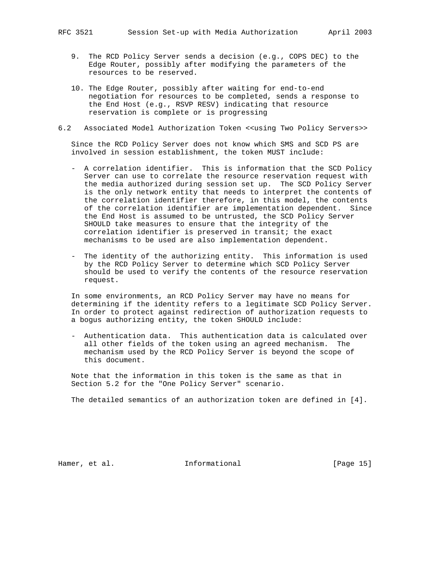- 9. The RCD Policy Server sends a decision (e.g., COPS DEC) to the Edge Router, possibly after modifying the parameters of the resources to be reserved.
- 10. The Edge Router, possibly after waiting for end-to-end negotiation for resources to be completed, sends a response to the End Host (e.g., RSVP RESV) indicating that resource reservation is complete or is progressing
- 6.2 Associated Model Authorization Token <<using Two Policy Servers>>

 Since the RCD Policy Server does not know which SMS and SCD PS are involved in session establishment, the token MUST include:

- A correlation identifier. This is information that the SCD Policy Server can use to correlate the resource reservation request with the media authorized during session set up. The SCD Policy Server is the only network entity that needs to interpret the contents of the correlation identifier therefore, in this model, the contents of the correlation identifier are implementation dependent. Since the End Host is assumed to be untrusted, the SCD Policy Server SHOULD take measures to ensure that the integrity of the correlation identifier is preserved in transit; the exact mechanisms to be used are also implementation dependent.
- The identity of the authorizing entity. This information is used by the RCD Policy Server to determine which SCD Policy Server should be used to verify the contents of the resource reservation request.

 In some environments, an RCD Policy Server may have no means for determining if the identity refers to a legitimate SCD Policy Server. In order to protect against redirection of authorization requests to a bogus authorizing entity, the token SHOULD include:

 - Authentication data. This authentication data is calculated over all other fields of the token using an agreed mechanism. The mechanism used by the RCD Policy Server is beyond the scope of this document.

 Note that the information in this token is the same as that in Section 5.2 for the "One Policy Server" scenario.

The detailed semantics of an authorization token are defined in [4].

Hamer, et al. 10 Informational 10 [Page 15]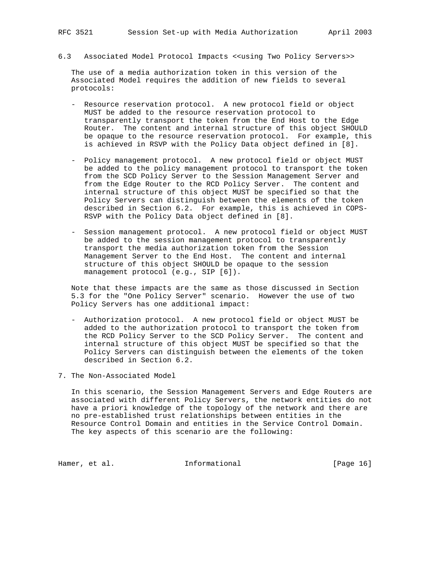6.3 Associated Model Protocol Impacts <<using Two Policy Servers>>

 The use of a media authorization token in this version of the Associated Model requires the addition of new fields to several protocols:

- Resource reservation protocol. A new protocol field or object MUST be added to the resource reservation protocol to transparently transport the token from the End Host to the Edge Router. The content and internal structure of this object SHOULD be opaque to the resource reservation protocol. For example, this is achieved in RSVP with the Policy Data object defined in [8].
- Policy management protocol. A new protocol field or object MUST be added to the policy management protocol to transport the token from the SCD Policy Server to the Session Management Server and from the Edge Router to the RCD Policy Server. The content and internal structure of this object MUST be specified so that the Policy Servers can distinguish between the elements of the token described in Section 6.2. For example, this is achieved in COPS- RSVP with the Policy Data object defined in [8].
- Session management protocol. A new protocol field or object MUST be added to the session management protocol to transparently transport the media authorization token from the Session Management Server to the End Host. The content and internal structure of this object SHOULD be opaque to the session management protocol (e.g., SIP [6]).

 Note that these impacts are the same as those discussed in Section 5.3 for the "One Policy Server" scenario. However the use of two Policy Servers has one additional impact:

- Authorization protocol. A new protocol field or object MUST be added to the authorization protocol to transport the token from the RCD Policy Server to the SCD Policy Server. The content and internal structure of this object MUST be specified so that the Policy Servers can distinguish between the elements of the token described in Section 6.2.
- 7. The Non-Associated Model

 In this scenario, the Session Management Servers and Edge Routers are associated with different Policy Servers, the network entities do not have a priori knowledge of the topology of the network and there are no pre-established trust relationships between entities in the Resource Control Domain and entities in the Service Control Domain. The key aspects of this scenario are the following:

Hamer, et al. 10 Informational 10 [Page 16]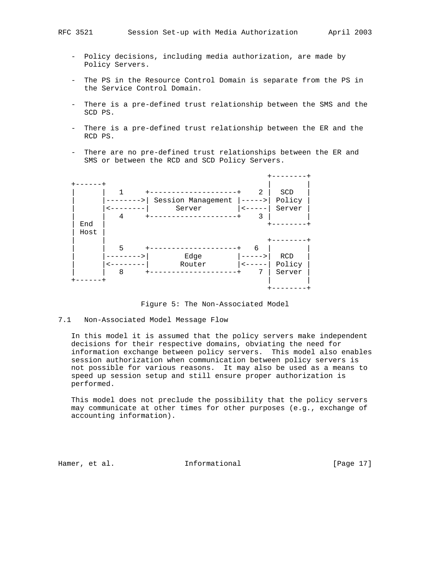- Policy decisions, including media authorization, are made by Policy Servers.
- The PS in the Resource Control Domain is separate from the PS in the Service Control Domain.
- There is a pre-defined trust relationship between the SMS and the SCD PS.
- There is a pre-defined trust relationship between the ER and the RCD PS.
- There are no pre-defined trust relationships between the ER and SMS or between the RCD and SCD Policy Servers.



Figure 5: The Non-Associated Model

## 7.1 Non-Associated Model Message Flow

 In this model it is assumed that the policy servers make independent decisions for their respective domains, obviating the need for information exchange between policy servers. This model also enables session authorization when communication between policy servers is not possible for various reasons. It may also be used as a means to speed up session setup and still ensure proper authorization is performed.

 This model does not preclude the possibility that the policy servers may communicate at other times for other purposes (e.g., exchange of accounting information).

Hamer, et al. 10 Informational 10 [Page 17]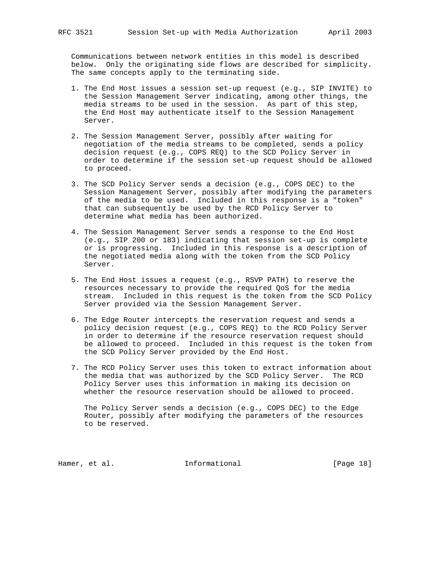Communications between network entities in this model is described below. Only the originating side flows are described for simplicity. The same concepts apply to the terminating side.

- 1. The End Host issues a session set-up request (e.g., SIP INVITE) to the Session Management Server indicating, among other things, the media streams to be used in the session. As part of this step, the End Host may authenticate itself to the Session Management Server.
- 2. The Session Management Server, possibly after waiting for negotiation of the media streams to be completed, sends a policy decision request (e.g., COPS REQ) to the SCD Policy Server in order to determine if the session set-up request should be allowed to proceed.
- 3. The SCD Policy Server sends a decision (e.g., COPS DEC) to the Session Management Server, possibly after modifying the parameters of the media to be used. Included in this response is a "token" that can subsequently be used by the RCD Policy Server to determine what media has been authorized.
- 4. The Session Management Server sends a response to the End Host (e.g., SIP 200 or 183) indicating that session set-up is complete or is progressing. Included in this response is a description of the negotiated media along with the token from the SCD Policy Server.
- 5. The End Host issues a request (e.g., RSVP PATH) to reserve the resources necessary to provide the required QoS for the media stream. Included in this request is the token from the SCD Policy Server provided via the Session Management Server.
- 6. The Edge Router intercepts the reservation request and sends a policy decision request (e.g., COPS REQ) to the RCD Policy Server in order to determine if the resource reservation request should be allowed to proceed. Included in this request is the token from the SCD Policy Server provided by the End Host.
- 7. The RCD Policy Server uses this token to extract information about the media that was authorized by the SCD Policy Server. The RCD Policy Server uses this information in making its decision on whether the resource reservation should be allowed to proceed.

 The Policy Server sends a decision (e.g., COPS DEC) to the Edge Router, possibly after modifying the parameters of the resources to be reserved.

Hamer, et al. 10 Informational 10 [Page 18]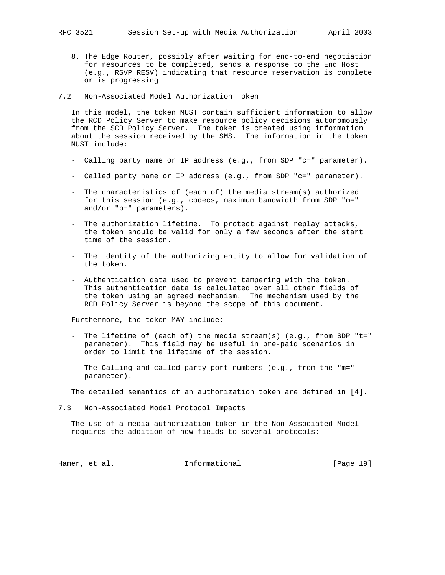- 8. The Edge Router, possibly after waiting for end-to-end negotiation for resources to be completed, sends a response to the End Host (e.g., RSVP RESV) indicating that resource reservation is complete or is progressing
- 7.2 Non-Associated Model Authorization Token

 In this model, the token MUST contain sufficient information to allow the RCD Policy Server to make resource policy decisions autonomously from the SCD Policy Server. The token is created using information about the session received by the SMS. The information in the token MUST include:

- Calling party name or IP address (e.g., from SDP "c=" parameter).
- Called party name or IP address (e.g., from SDP "c=" parameter).
- The characteristics of (each of) the media stream(s) authorized for this session (e.g., codecs, maximum bandwidth from SDP "m=" and/or "b=" parameters).
- The authorization lifetime. To protect against replay attacks, the token should be valid for only a few seconds after the start time of the session.
- The identity of the authorizing entity to allow for validation of the token.
- Authentication data used to prevent tampering with the token. This authentication data is calculated over all other fields of the token using an agreed mechanism. The mechanism used by the RCD Policy Server is beyond the scope of this document.

Furthermore, the token MAY include:

- The lifetime of (each of) the media stream(s) (e.g., from SDP "t=" parameter). This field may be useful in pre-paid scenarios in order to limit the lifetime of the session.
- The Calling and called party port numbers (e.g., from the "m=" parameter).

The detailed semantics of an authorization token are defined in [4].

7.3 Non-Associated Model Protocol Impacts

 The use of a media authorization token in the Non-Associated Model requires the addition of new fields to several protocols:

Hamer, et al. 10 Informational 19 [Page 19]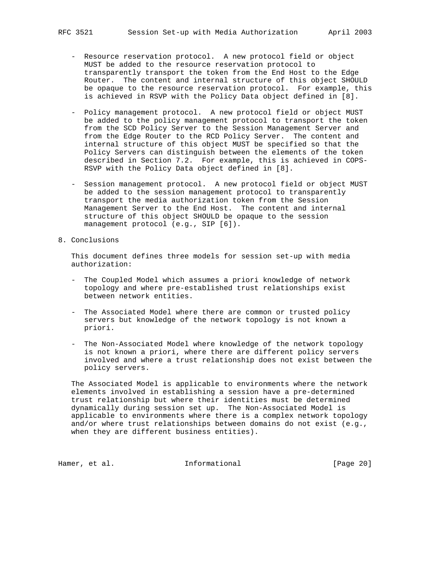- Resource reservation protocol. A new protocol field or object MUST be added to the resource reservation protocol to transparently transport the token from the End Host to the Edge Router. The content and internal structure of this object SHOULD be opaque to the resource reservation protocol. For example, this is achieved in RSVP with the Policy Data object defined in [8].
- Policy management protocol. A new protocol field or object MUST be added to the policy management protocol to transport the token from the SCD Policy Server to the Session Management Server and from the Edge Router to the RCD Policy Server. The content and internal structure of this object MUST be specified so that the Policy Servers can distinguish between the elements of the token described in Section 7.2. For example, this is achieved in COPS- RSVP with the Policy Data object defined in [8].
- Session management protocol. A new protocol field or object MUST be added to the session management protocol to transparently transport the media authorization token from the Session Management Server to the End Host. The content and internal structure of this object SHOULD be opaque to the session management protocol (e.g., SIP [6]).
- 8. Conclusions

 This document defines three models for session set-up with media authorization:

- The Coupled Model which assumes a priori knowledge of network topology and where pre-established trust relationships exist between network entities.
- The Associated Model where there are common or trusted policy servers but knowledge of the network topology is not known a priori.
- The Non-Associated Model where knowledge of the network topology is not known a priori, where there are different policy servers involved and where a trust relationship does not exist between the policy servers.

 The Associated Model is applicable to environments where the network elements involved in establishing a session have a pre-determined trust relationship but where their identities must be determined dynamically during session set up. The Non-Associated Model is applicable to environments where there is a complex network topology and/or where trust relationships between domains do not exist (e.g., when they are different business entities).

Hamer, et al. 1nformational 1999 [Page 20]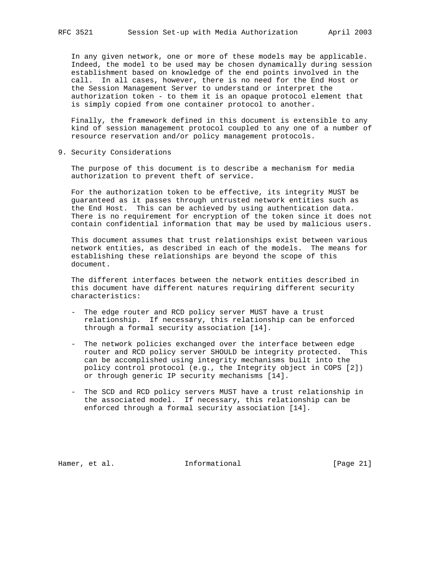In any given network, one or more of these models may be applicable. Indeed, the model to be used may be chosen dynamically during session establishment based on knowledge of the end points involved in the call. In all cases, however, there is no need for the End Host or the Session Management Server to understand or interpret the authorization token - to them it is an opaque protocol element that is simply copied from one container protocol to another.

 Finally, the framework defined in this document is extensible to any kind of session management protocol coupled to any one of a number of resource reservation and/or policy management protocols.

9. Security Considerations

 The purpose of this document is to describe a mechanism for media authorization to prevent theft of service.

 For the authorization token to be effective, its integrity MUST be guaranteed as it passes through untrusted network entities such as the End Host. This can be achieved by using authentication data. There is no requirement for encryption of the token since it does not contain confidential information that may be used by malicious users.

 This document assumes that trust relationships exist between various network entities, as described in each of the models. The means for establishing these relationships are beyond the scope of this document.

 The different interfaces between the network entities described in this document have different natures requiring different security characteristics:

- The edge router and RCD policy server MUST have a trust relationship. If necessary, this relationship can be enforced through a formal security association [14].
- The network policies exchanged over the interface between edge router and RCD policy server SHOULD be integrity protected. This can be accomplished using integrity mechanisms built into the policy control protocol (e.g., the Integrity object in COPS [2]) or through generic IP security mechanisms [14].
- The SCD and RCD policy servers MUST have a trust relationship in the associated model. If necessary, this relationship can be enforced through a formal security association [14].

Hamer, et al. 10 Informational 10 [Page 21]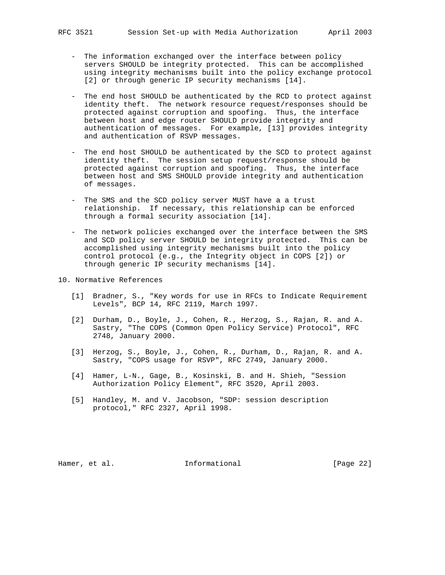- The information exchanged over the interface between policy servers SHOULD be integrity protected. This can be accomplished using integrity mechanisms built into the policy exchange protocol [2] or through generic IP security mechanisms [14].
- The end host SHOULD be authenticated by the RCD to protect against identity theft. The network resource request/responses should be protected against corruption and spoofing. Thus, the interface between host and edge router SHOULD provide integrity and authentication of messages. For example, [13] provides integrity and authentication of RSVP messages.
- The end host SHOULD be authenticated by the SCD to protect against identity theft. The session setup request/response should be protected against corruption and spoofing. Thus, the interface between host and SMS SHOULD provide integrity and authentication of messages.
- The SMS and the SCD policy server MUST have a a trust relationship. If necessary, this relationship can be enforced through a formal security association [14].
- The network policies exchanged over the interface between the SMS and SCD policy server SHOULD be integrity protected. This can be accomplished using integrity mechanisms built into the policy control protocol (e.g., the Integrity object in COPS [2]) or through generic IP security mechanisms [14].
- 10. Normative References
	- [1] Bradner, S., "Key words for use in RFCs to Indicate Requirement Levels", BCP 14, RFC 2119, March 1997.
	- [2] Durham, D., Boyle, J., Cohen, R., Herzog, S., Rajan, R. and A. Sastry, "The COPS (Common Open Policy Service) Protocol", RFC 2748, January 2000.
	- [3] Herzog, S., Boyle, J., Cohen, R., Durham, D., Rajan, R. and A. Sastry, "COPS usage for RSVP", RFC 2749, January 2000.
	- [4] Hamer, L-N., Gage, B., Kosinski, B. and H. Shieh, "Session Authorization Policy Element", RFC 3520, April 2003.
	- [5] Handley, M. and V. Jacobson, "SDP: session description protocol," RFC 2327, April 1998.

Hamer, et al. 10 Informational 10 [Page 22]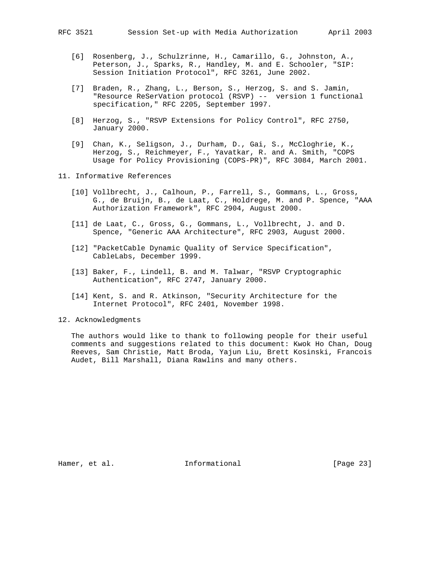- - [6] Rosenberg, J., Schulzrinne, H., Camarillo, G., Johnston, A., Peterson, J., Sparks, R., Handley, M. and E. Schooler, "SIP: Session Initiation Protocol", RFC 3261, June 2002.
	- [7] Braden, R., Zhang, L., Berson, S., Herzog, S. and S. Jamin, "Resource ReSerVation protocol (RSVP) -- version 1 functional specification," RFC 2205, September 1997.
	- [8] Herzog, S., "RSVP Extensions for Policy Control", RFC 2750, January 2000.
	- [9] Chan, K., Seligson, J., Durham, D., Gai, S., McCloghrie, K., Herzog, S., Reichmeyer, F., Yavatkar, R. and A. Smith, "COPS Usage for Policy Provisioning (COPS-PR)", RFC 3084, March 2001.
- 11. Informative References
	- [10] Vollbrecht, J., Calhoun, P., Farrell, S., Gommans, L., Gross, G., de Bruijn, B., de Laat, C., Holdrege, M. and P. Spence, "AAA Authorization Framework", RFC 2904, August 2000.
	- [11] de Laat, C., Gross, G., Gommans, L., Vollbrecht, J. and D. Spence, "Generic AAA Architecture", RFC 2903, August 2000.
	- [12] "PacketCable Dynamic Quality of Service Specification", CableLabs, December 1999.
	- [13] Baker, F., Lindell, B. and M. Talwar, "RSVP Cryptographic Authentication", RFC 2747, January 2000.
	- [14] Kent, S. and R. Atkinson, "Security Architecture for the Internet Protocol", RFC 2401, November 1998.
- 12. Acknowledgments

 The authors would like to thank to following people for their useful comments and suggestions related to this document: Kwok Ho Chan, Doug Reeves, Sam Christie, Matt Broda, Yajun Liu, Brett Kosinski, Francois Audet, Bill Marshall, Diana Rawlins and many others.

Hamer, et al. 10 Informational 10 [Page 23]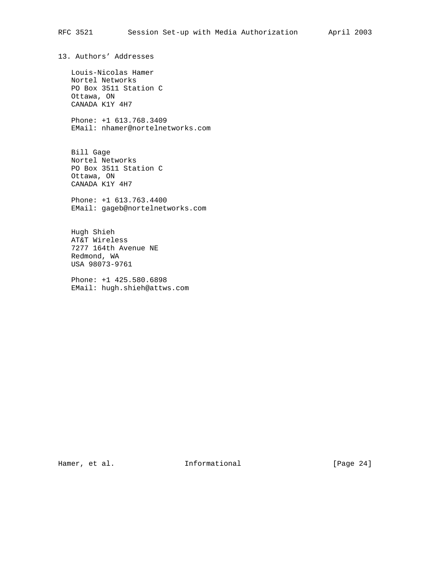13. Authors' Addresses Louis-Nicolas Hamer Nortel Networks PO Box 3511 Station C Ottawa, ON CANADA K1Y 4H7 Phone: +1 613.768.3409 EMail: nhamer@nortelnetworks.com Bill Gage Nortel Networks PO Box 3511 Station C Ottawa, ON CANADA K1Y 4H7 Phone: +1 613.763.4400 EMail: gageb@nortelnetworks.com Hugh Shieh AT&T Wireless 7277 164th Avenue NE Redmond, WA USA 98073-9761 Phone: +1 425.580.6898 EMail: hugh.shieh@attws.com

Hamer, et al. 10 Informational 11 [Page 24]